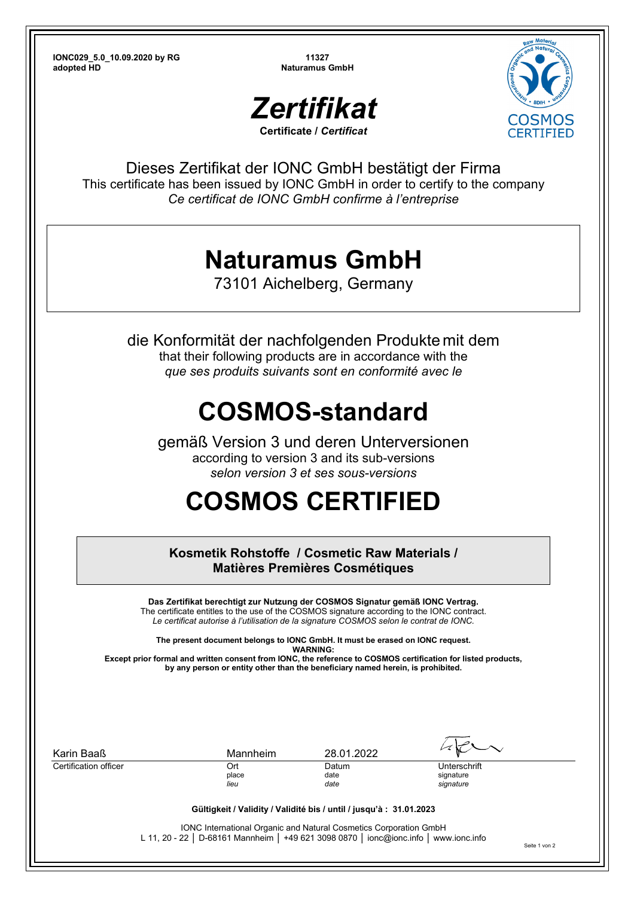**IONC029\_5.0\_10.09.2020 by RG 11327 adopted HD** Naturamus GmbH





Dieses Zertifikat der IONC GmbH bestätigt der Firma This certificate has been issued by IONC GmbH in order to certify to the company *Ce certificat de IONC GmbH confirme à l'entreprise*

## **Naturamus GmbH**

73101 Aichelberg, Germany

die Konformität der nachfolgenden Produkte mit dem that their following products are in accordance with the *que ses produits suivants sont en conformité avec le*

## **COSMOS-standard**

gemäß Version 3 und deren Unterversionen according to version 3 and its sub-versions *selon version 3 et ses sous-versions* 

## **COSMOS CERTIFIED**

**Kosmetik Rohstoffe / Cosmetic Raw Materials / Matières Premières Cosmétiques** 

**Das Zertifikat berechtigt zur Nutzung der COSMOS Signatur gemäß IONC Vertrag.**  The certificate entitles to the use of the COSMOS signature according to the IONC contract. *Le certificat autorise à l'utilisation de la signature COSMOS selon le contrat de IONC.* 

**The present document belongs to IONC GmbH. It must be erased on IONC request. WARNING: Except prior formal and written consent from IONC, the reference to COSMOS certification for listed products,** 

**by any person or entity other than the beneficiary named herein, is prohibited.** 

| Karin Baaß            | Mannheim                                                                              | 28.01.2022   |                        |
|-----------------------|---------------------------------------------------------------------------------------|--------------|------------------------|
| Certification officer | Ort                                                                                   | Datum        | Unterschrift           |
|                       | place<br>lieu                                                                         | date<br>date | signature<br>signature |
|                       | Gültigkeit / Validity / Validité bis / until / jusqu'à : 31.01.2023                   |              |                        |
|                       | <b>IONC International Organic and Natural Cosmetics Corporation GmbH</b>              |              |                        |
|                       | L 11, 20 - 22   D-68161 Mannheim   +49 621 3098 0870   ionc@ionc.info   www.ionc.info |              |                        |

Seite 1 von 2